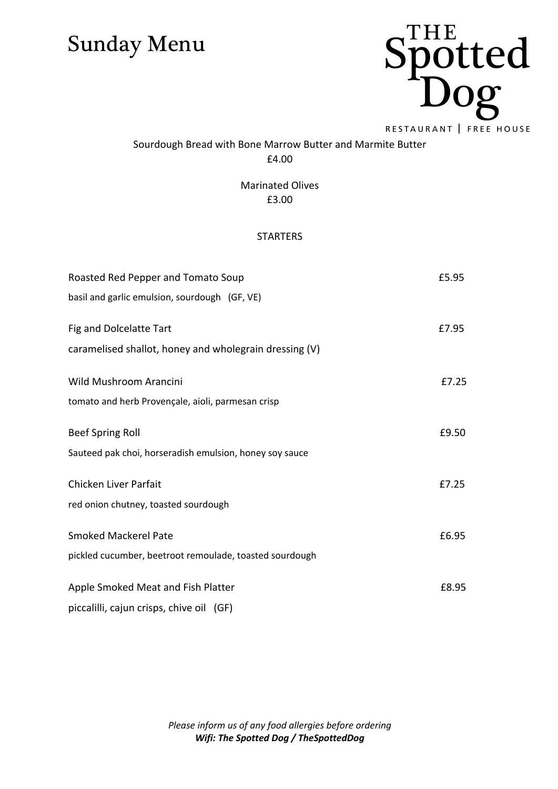

### Sourdough Bread with Bone Marrow Butter and Marmite Butter £4.00

Marinated Olives £3.00

#### **STARTERS**

| Roasted Red Pepper and Tomato Soup                      | £5.95 |
|---------------------------------------------------------|-------|
| basil and garlic emulsion, sourdough (GF, VE)           |       |
| Fig and Dolcelatte Tart                                 | £7.95 |
|                                                         |       |
| caramelised shallot, honey and wholegrain dressing (V)  |       |
| Wild Mushroom Arancini                                  | £7.25 |
| tomato and herb Provençale, aioli, parmesan crisp       |       |
| <b>Beef Spring Roll</b>                                 | £9.50 |
| Sauteed pak choi, horseradish emulsion, honey soy sauce |       |
| Chicken Liver Parfait                                   | £7.25 |
| red onion chutney, toasted sourdough                    |       |
| <b>Smoked Mackerel Pate</b>                             | £6.95 |
| pickled cucumber, beetroot remoulade, toasted sourdough |       |
|                                                         |       |
| Apple Smoked Meat and Fish Platter                      | £8.95 |
| piccalilli, cajun crisps, chive oil (GF)                |       |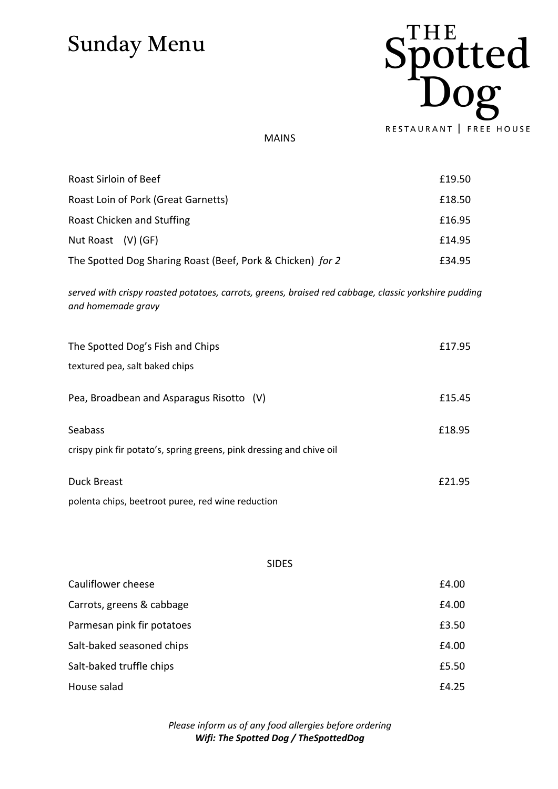

MAINS

| Roast Sirloin of Beef                                      | £19.50 |
|------------------------------------------------------------|--------|
| Roast Loin of Pork (Great Garnetts)                        | £18.50 |
| Roast Chicken and Stuffing                                 | £16.95 |
| Nut Roast $(V)$ (GF)                                       | £14.95 |
| The Spotted Dog Sharing Roast (Beef, Pork & Chicken) for 2 | £34.95 |

*served with crispy roasted potatoes, carrots, greens, braised red cabbage, classic yorkshire pudding and homemade gravy*

| The Spotted Dog's Fish and Chips                                                       | £17.95 |
|----------------------------------------------------------------------------------------|--------|
| textured pea, salt baked chips                                                         |        |
| Pea, Broadbean and Asparagus Risotto (V)                                               | £15.45 |
| <b>Seabass</b><br>crispy pink fir potato's, spring greens, pink dressing and chive oil | £18.95 |
| Duck Breast<br>polenta chips, beetroot puree, red wine reduction                       | £21.95 |

| <b>SIDES</b>               |       |
|----------------------------|-------|
| Cauliflower cheese         | £4.00 |
| Carrots, greens & cabbage  | £4.00 |
| Parmesan pink fir potatoes | £3.50 |
| Salt-baked seasoned chips  | £4.00 |
| Salt-baked truffle chips   | £5.50 |
| House salad                | £4.25 |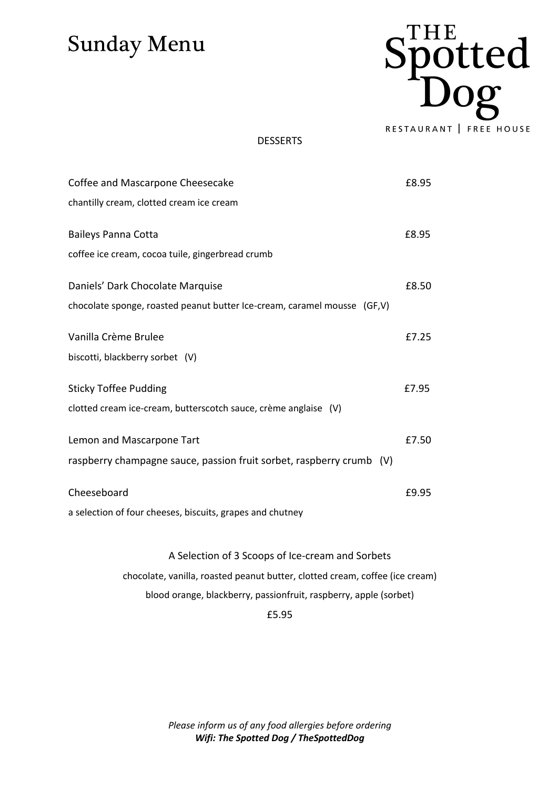

#### DESSERTS

| Coffee and Mascarpone Cheesecake                                         | £8.95 |
|--------------------------------------------------------------------------|-------|
| chantilly cream, clotted cream ice cream                                 |       |
| <b>Baileys Panna Cotta</b>                                               | £8.95 |
| coffee ice cream, cocoa tuile, gingerbread crumb                         |       |
| Daniels' Dark Chocolate Marquise                                         | £8.50 |
| chocolate sponge, roasted peanut butter Ice-cream, caramel mousse (GF,V) |       |
| Vanilla Crème Brulee                                                     | £7.25 |
| biscotti, blackberry sorbet (V)                                          |       |
| <b>Sticky Toffee Pudding</b>                                             | £7.95 |
| clotted cream ice-cream, butterscotch sauce, crème anglaise (V)          |       |
| Lemon and Mascarpone Tart                                                | £7.50 |
| raspberry champagne sauce, passion fruit sorbet, raspberry crumb (V)     |       |
| Cheeseboard                                                              | £9.95 |
| a selection of four cheeses, biscuits, grapes and chutney                |       |
|                                                                          |       |

#### A Selection of 3 Scoops of Ice-cream and Sorbets

chocolate, vanilla, roasted peanut butter, clotted cream, coffee (ice cream)

blood orange, blackberry, passionfruit, raspberry, apple (sorbet)

#### £5.95